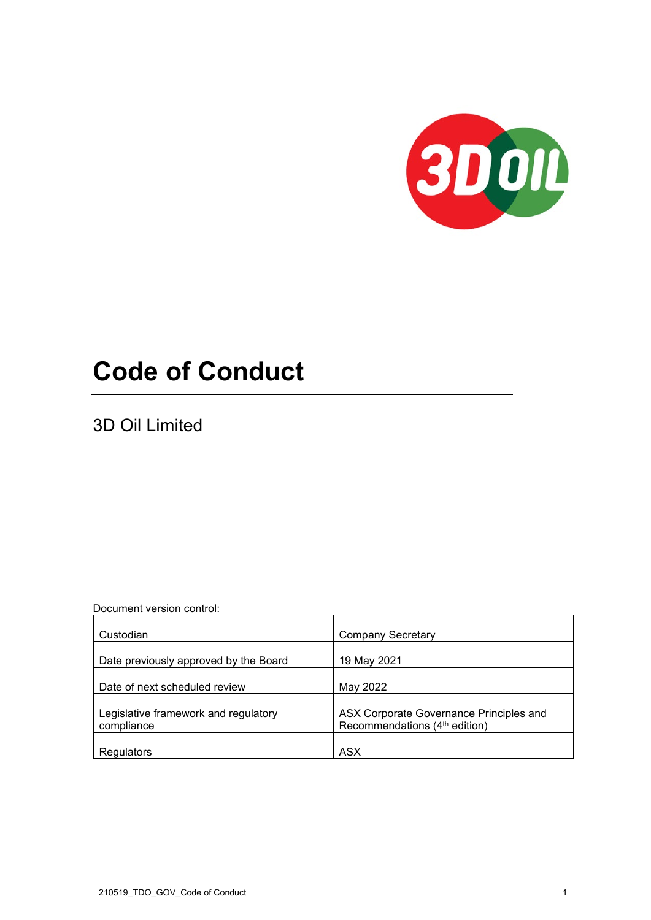

# **Code of Conduct**

3D Oil Limited

Document version control:

| Custodian                                          | <b>Company Secretary</b>                                                             |
|----------------------------------------------------|--------------------------------------------------------------------------------------|
| Date previously approved by the Board              | 19 May 2021                                                                          |
| Date of next scheduled review                      | May 2022                                                                             |
|                                                    |                                                                                      |
| Legislative framework and regulatory<br>compliance | ASX Corporate Governance Principles and<br>Recommendations (4 <sup>th</sup> edition) |
| Regulators                                         | <b>ASX</b>                                                                           |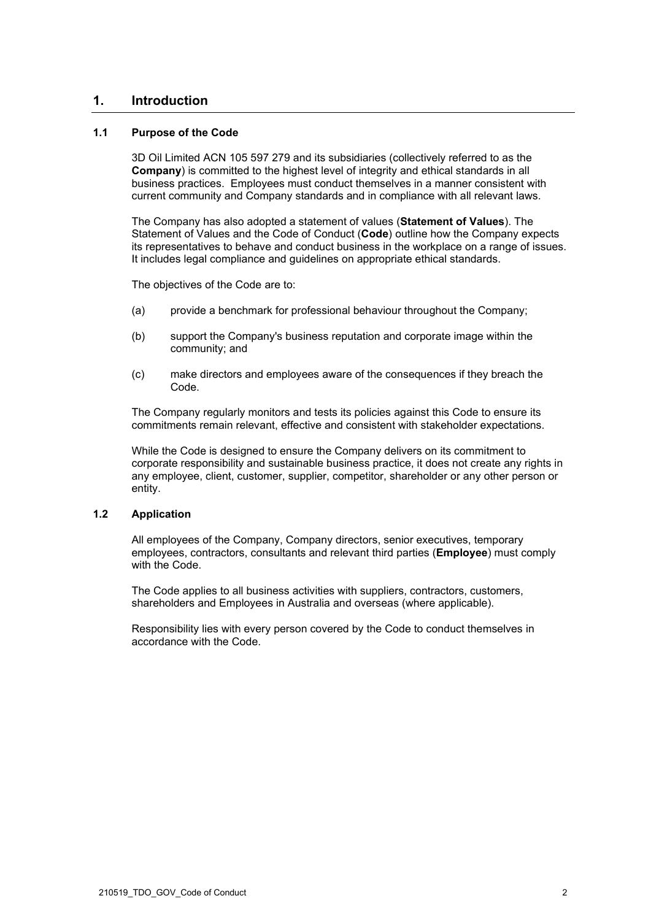# **1. Introduction**

## **1.1 Purpose of the Code**

3D Oil Limited ACN 105 597 279 and its subsidiaries (collectively referred to as the **Company**) is committed to the highest level of integrity and ethical standards in all business practices. Employees must conduct themselves in a manner consistent with current community and Company standards and in compliance with all relevant laws.

The Company has also adopted a statement of values (**Statement of Values**). The Statement of Values and the Code of Conduct (**Code**) outline how the Company expects its representatives to behave and conduct business in the workplace on a range of issues. It includes legal compliance and guidelines on appropriate ethical standards.

The objectives of the Code are to:

- (a) provide a benchmark for professional behaviour throughout the Company;
- (b) support the Company's business reputation and corporate image within the community; and
- (c) make directors and employees aware of the consequences if they breach the Code.

The Company regularly monitors and tests its policies against this Code to ensure its commitments remain relevant, effective and consistent with stakeholder expectations.

While the Code is designed to ensure the Company delivers on its commitment to corporate responsibility and sustainable business practice, it does not create any rights in any employee, client, customer, supplier, competitor, shareholder or any other person or entity.

# **1.2 Application**

All employees of the Company, Company directors, senior executives, temporary employees, contractors, consultants and relevant third parties (**Employee**) must comply with the Code.

The Code applies to all business activities with suppliers, contractors, customers, shareholders and Employees in Australia and overseas (where applicable).

Responsibility lies with every person covered by the Code to conduct themselves in accordance with the Code.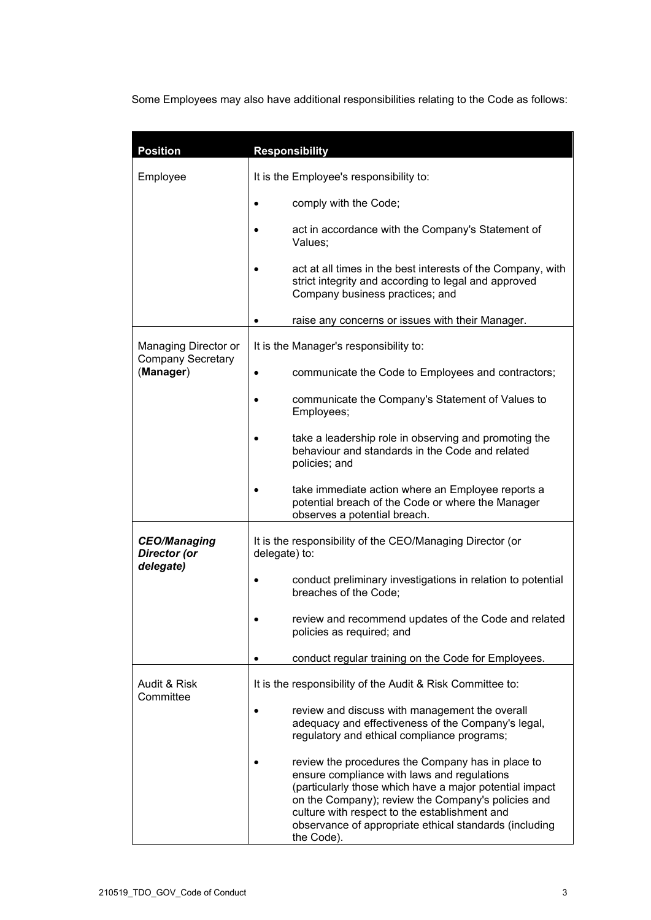Some Employees may also have additional responsibilities relating to the Code as follows:

| <b>Position</b>                                               | <b>Responsibility</b>                                                                                                                                                                                                                                                                                                                      |  |
|---------------------------------------------------------------|--------------------------------------------------------------------------------------------------------------------------------------------------------------------------------------------------------------------------------------------------------------------------------------------------------------------------------------------|--|
| Employee                                                      | It is the Employee's responsibility to:                                                                                                                                                                                                                                                                                                    |  |
|                                                               | comply with the Code;<br>٠                                                                                                                                                                                                                                                                                                                 |  |
|                                                               | act in accordance with the Company's Statement of<br>Values;                                                                                                                                                                                                                                                                               |  |
|                                                               | act at all times in the best interests of the Company, with<br>strict integrity and according to legal and approved<br>Company business practices; and                                                                                                                                                                                     |  |
|                                                               | raise any concerns or issues with their Manager.                                                                                                                                                                                                                                                                                           |  |
| Managing Director or<br><b>Company Secretary</b><br>(Manager) | It is the Manager's responsibility to:                                                                                                                                                                                                                                                                                                     |  |
|                                                               | communicate the Code to Employees and contractors;<br>$\bullet$                                                                                                                                                                                                                                                                            |  |
|                                                               | communicate the Company's Statement of Values to<br>Employees;                                                                                                                                                                                                                                                                             |  |
|                                                               | take a leadership role in observing and promoting the<br>behaviour and standards in the Code and related<br>policies; and                                                                                                                                                                                                                  |  |
|                                                               | take immediate action where an Employee reports a<br>potential breach of the Code or where the Manager<br>observes a potential breach.                                                                                                                                                                                                     |  |
| <b>CEO/Managing</b><br>Director (or<br>delegate)              | It is the responsibility of the CEO/Managing Director (or<br>delegate) to:                                                                                                                                                                                                                                                                 |  |
|                                                               | conduct preliminary investigations in relation to potential<br>breaches of the Code;                                                                                                                                                                                                                                                       |  |
|                                                               | review and recommend updates of the Code and related<br>policies as required; and                                                                                                                                                                                                                                                          |  |
|                                                               | conduct regular training on the Code for Employees.                                                                                                                                                                                                                                                                                        |  |
| Audit & Risk<br>Committee                                     | It is the responsibility of the Audit & Risk Committee to:                                                                                                                                                                                                                                                                                 |  |
|                                                               | review and discuss with management the overall<br>adequacy and effectiveness of the Company's legal,<br>regulatory and ethical compliance programs;                                                                                                                                                                                        |  |
|                                                               | review the procedures the Company has in place to<br>ensure compliance with laws and regulations<br>(particularly those which have a major potential impact<br>on the Company); review the Company's policies and<br>culture with respect to the establishment and<br>observance of appropriate ethical standards (including<br>the Code). |  |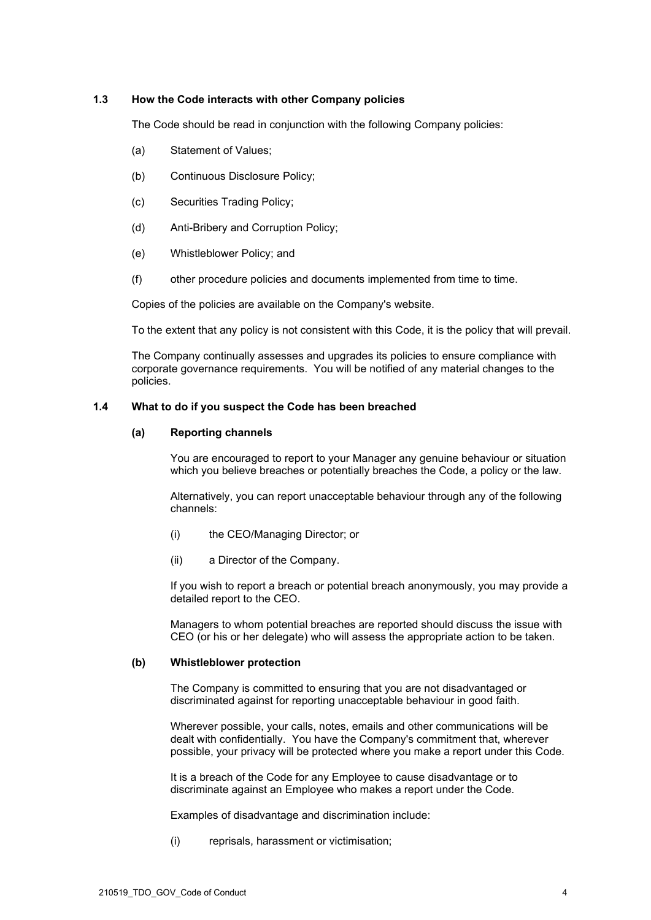## **1.3 How the Code interacts with other Company policies**

The Code should be read in conjunction with the following Company policies:

- (a) Statement of Values;
- (b) Continuous Disclosure Policy;
- (c) Securities Trading Policy;
- (d) Anti-Bribery and Corruption Policy;
- (e) Whistleblower Policy; and
- (f) other procedure policies and documents implemented from time to time.

Copies of the policies are available on the Company's website.

To the extent that any policy is not consistent with this Code, it is the policy that will prevail.

The Company continually assesses and upgrades its policies to ensure compliance with corporate governance requirements. You will be notified of any material changes to the policies.

## <span id="page-3-0"></span>**1.4 What to do if you suspect the Code has been breached**

## **(a) Reporting channels**

You are encouraged to report to your Manager any genuine behaviour or situation which you believe breaches or potentially breaches the Code, a policy or the law.

Alternatively, you can report unacceptable behaviour through any of the following channels:

- (i) the CEO/Managing Director; or
- (ii) a Director of the Company.

If you wish to report a breach or potential breach anonymously, you may provide a detailed report to the CEO.

Managers to whom potential breaches are reported should discuss the issue with CEO (or his or her delegate) who will assess the appropriate action to be taken.

## **(b) Whistleblower protection**

The Company is committed to ensuring that you are not disadvantaged or discriminated against for reporting unacceptable behaviour in good faith.

Wherever possible, your calls, notes, emails and other communications will be dealt with confidentially. You have the Company's commitment that, wherever possible, your privacy will be protected where you make a report under this Code.

It is a breach of the Code for any Employee to cause disadvantage or to discriminate against an Employee who makes a report under the Code.

Examples of disadvantage and discrimination include:

(i) reprisals, harassment or victimisation;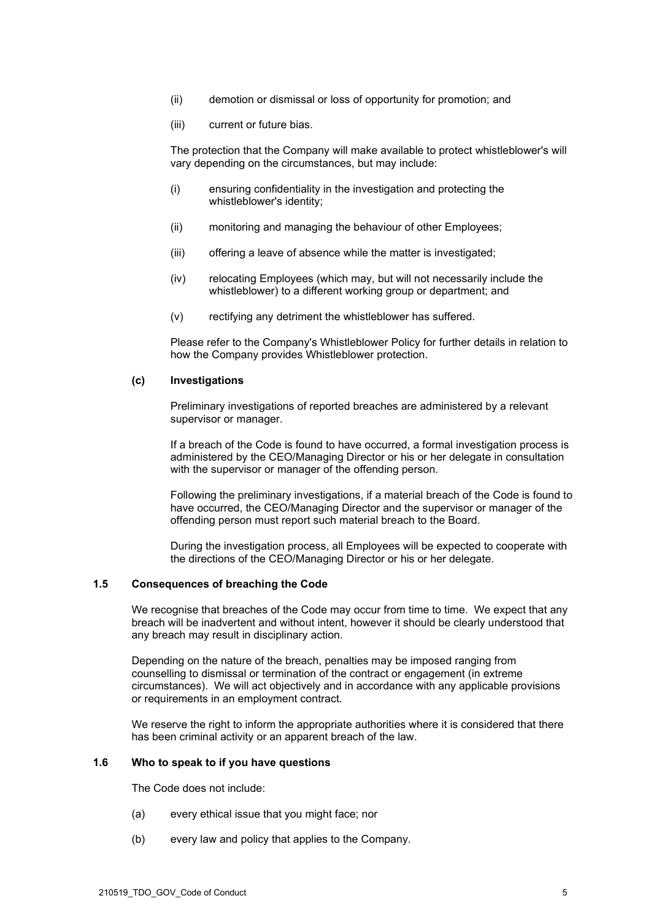- (ii) demotion or dismissal or loss of opportunity for promotion; and
- (iii) current or future bias.

The protection that the Company will make available to protect whistleblower's will vary depending on the circumstances, but may include:

- (i) ensuring confidentiality in the investigation and protecting the whistleblower's identity;
- (ii) monitoring and managing the behaviour of other Employees;
- (iii) offering a leave of absence while the matter is investigated;
- (iv) relocating Employees (which may, but will not necessarily include the whistleblower) to a different working group or department; and
- (v) rectifying any detriment the whistleblower has suffered.

Please refer to the Company's Whistleblower Policy for further details in relation to how the Company provides Whistleblower protection.

## **(c) Investigations**

Preliminary investigations of reported breaches are administered by a relevant supervisor or manager.

If a breach of the Code is found to have occurred, a formal investigation process is administered by the CEO/Managing Director or his or her delegate in consultation with the supervisor or manager of the offending person.

Following the preliminary investigations, if a material breach of the Code is found to have occurred, the CEO/Managing Director and the supervisor or manager of the offending person must report such material breach to the Board.

During the investigation process, all Employees will be expected to cooperate with the directions of the CEO/Managing Director or his or her delegate.

## **1.5 Consequences of breaching the Code**

We recognise that breaches of the Code may occur from time to time. We expect that any breach will be inadvertent and without intent, however it should be clearly understood that any breach may result in disciplinary action.

Depending on the nature of the breach, penalties may be imposed ranging from counselling to dismissal or termination of the contract or engagement (in extreme circumstances). We will act objectively and in accordance with any applicable provisions or requirements in an employment contract.

We reserve the right to inform the appropriate authorities where it is considered that there has been criminal activity or an apparent breach of the law.

# **1.6 Who to speak to if you have questions**

The Code does not include:

- (a) every ethical issue that you might face; nor
- (b) every law and policy that applies to the Company.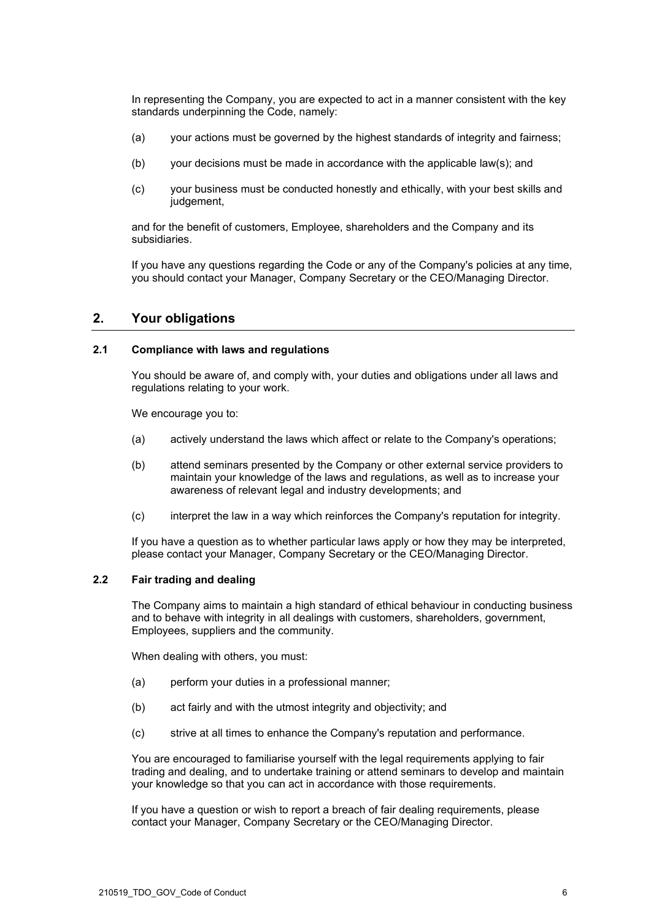In representing the Company, you are expected to act in a manner consistent with the key standards underpinning the Code, namely:

- (a) your actions must be governed by the highest standards of integrity and fairness;
- (b) your decisions must be made in accordance with the applicable law(s); and
- (c) your business must be conducted honestly and ethically, with your best skills and judgement,

and for the benefit of customers, Employee, shareholders and the Company and its subsidiaries.

If you have any questions regarding the Code or any of the Company's policies at any time, you should contact your Manager, Company Secretary or the CEO/Managing Director.

# **2. Your obligations**

## **2.1 Compliance with laws and regulations**

You should be aware of, and comply with, your duties and obligations under all laws and regulations relating to your work.

We encourage you to:

- (a) actively understand the laws which affect or relate to the Company's operations;
- (b) attend seminars presented by the Company or other external service providers to maintain your knowledge of the laws and regulations, as well as to increase your awareness of relevant legal and industry developments; and
- (c) interpret the law in a way which reinforces the Company's reputation for integrity.

If you have a question as to whether particular laws apply or how they may be interpreted, please contact your Manager, Company Secretary or the CEO/Managing Director.

# **2.2 Fair trading and dealing**

The Company aims to maintain a high standard of ethical behaviour in conducting business and to behave with integrity in all dealings with customers, shareholders, government, Employees, suppliers and the community.

When dealing with others, you must:

- (a) perform your duties in a professional manner;
- (b) act fairly and with the utmost integrity and objectivity; and
- (c) strive at all times to enhance the Company's reputation and performance.

You are encouraged to familiarise yourself with the legal requirements applying to fair trading and dealing, and to undertake training or attend seminars to develop and maintain your knowledge so that you can act in accordance with those requirements.

If you have a question or wish to report a breach of fair dealing requirements, please contact your Manager, Company Secretary or the CEO/Managing Director.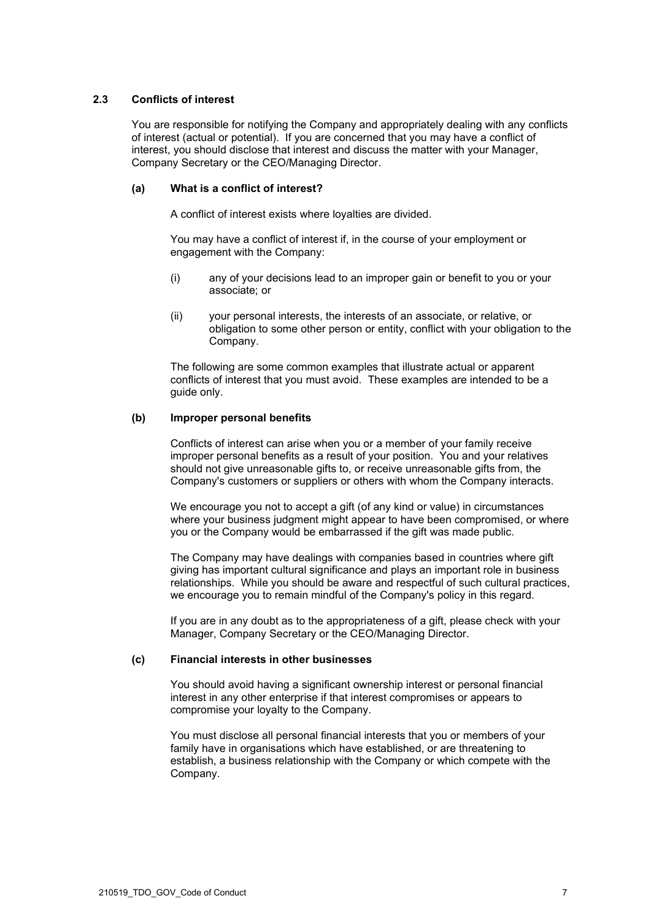# **2.3 Conflicts of interest**

You are responsible for notifying the Company and appropriately dealing with any conflicts of interest (actual or potential). If you are concerned that you may have a conflict of interest, you should disclose that interest and discuss the matter with your Manager, Company Secretary or the CEO/Managing Director.

## **(a) What is a conflict of interest?**

A conflict of interest exists where loyalties are divided.

You may have a conflict of interest if, in the course of your employment or engagement with the Company:

- (i) any of your decisions lead to an improper gain or benefit to you or your associate; or
- (ii) your personal interests, the interests of an associate, or relative, or obligation to some other person or entity, conflict with your obligation to the Company.

The following are some common examples that illustrate actual or apparent conflicts of interest that you must avoid. These examples are intended to be a guide only.

## <span id="page-6-0"></span>**(b) Improper personal benefits**

Conflicts of interest can arise when you or a member of your family receive improper personal benefits as a result of your position. You and your relatives should not give unreasonable gifts to, or receive unreasonable gifts from, the Company's customers or suppliers or others with whom the Company interacts.

We encourage you not to accept a gift (of any kind or value) in circumstances where your business judgment might appear to have been compromised, or where you or the Company would be embarrassed if the gift was made public.

The Company may have dealings with companies based in countries where gift giving has important cultural significance and plays an important role in business relationships. While you should be aware and respectful of such cultural practices, we encourage you to remain mindful of the Company's policy in this regard.

If you are in any doubt as to the appropriateness of a gift, please check with your Manager, Company Secretary or the CEO/Managing Director.

## **(c) Financial interests in other businesses**

You should avoid having a significant ownership interest or personal financial interest in any other enterprise if that interest compromises or appears to compromise your loyalty to the Company.

You must disclose all personal financial interests that you or members of your family have in organisations which have established, or are threatening to establish, a business relationship with the Company or which compete with the Company.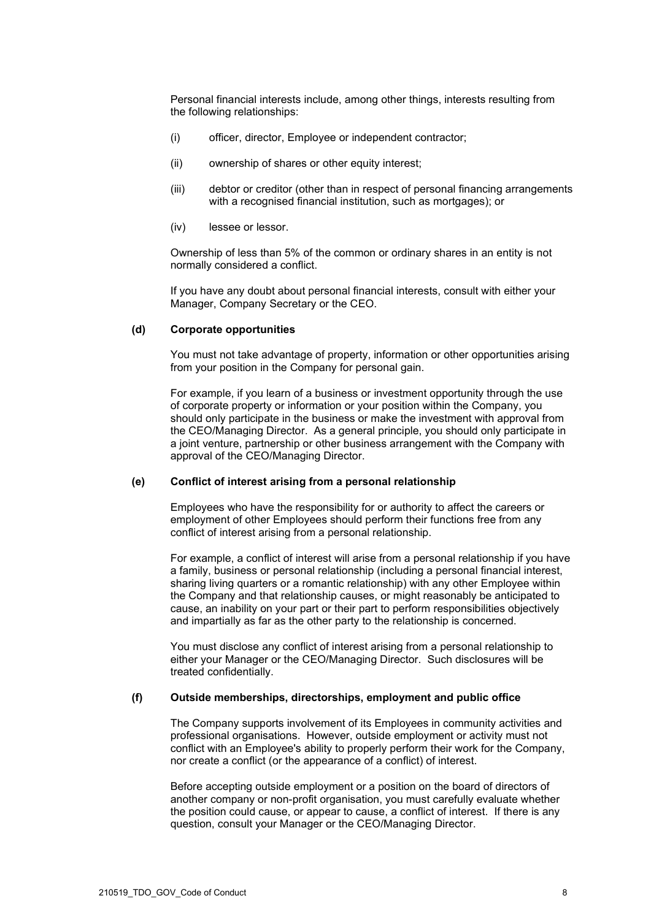Personal financial interests include, among other things, interests resulting from the following relationships:

- (i) officer, director, Employee or independent contractor;
- (ii) ownership of shares or other equity interest;
- (iii) debtor or creditor (other than in respect of personal financing arrangements with a recognised financial institution, such as mortgages); or
- (iv) lessee or lessor.

Ownership of less than 5% of the common or ordinary shares in an entity is not normally considered a conflict.

If you have any doubt about personal financial interests, consult with either your Manager, Company Secretary or the CEO.

# **(d) Corporate opportunities**

You must not take advantage of property, information or other opportunities arising from your position in the Company for personal gain.

For example, if you learn of a business or investment opportunity through the use of corporate property or information or your position within the Company, you should only participate in the business or make the investment with approval from the CEO/Managing Director. As a general principle, you should only participate in a joint venture, partnership or other business arrangement with the Company with approval of the CEO/Managing Director.

### **(e) Conflict of interest arising from a personal relationship**

Employees who have the responsibility for or authority to affect the careers or employment of other Employees should perform their functions free from any conflict of interest arising from a personal relationship.

For example, a conflict of interest will arise from a personal relationship if you have a family, business or personal relationship (including a personal financial interest, sharing living quarters or a romantic relationship) with any other Employee within the Company and that relationship causes, or might reasonably be anticipated to cause, an inability on your part or their part to perform responsibilities objectively and impartially as far as the other party to the relationship is concerned.

You must disclose any conflict of interest arising from a personal relationship to either your Manager or the CEO/Managing Director. Such disclosures will be treated confidentially.

#### **(f) Outside memberships, directorships, employment and public office**

The Company supports involvement of its Employees in community activities and professional organisations. However, outside employment or activity must not conflict with an Employee's ability to properly perform their work for the Company, nor create a conflict (or the appearance of a conflict) of interest.

Before accepting outside employment or a position on the board of directors of another company or non-profit organisation, you must carefully evaluate whether the position could cause, or appear to cause, a conflict of interest. If there is any question, consult your Manager or the CEO/Managing Director.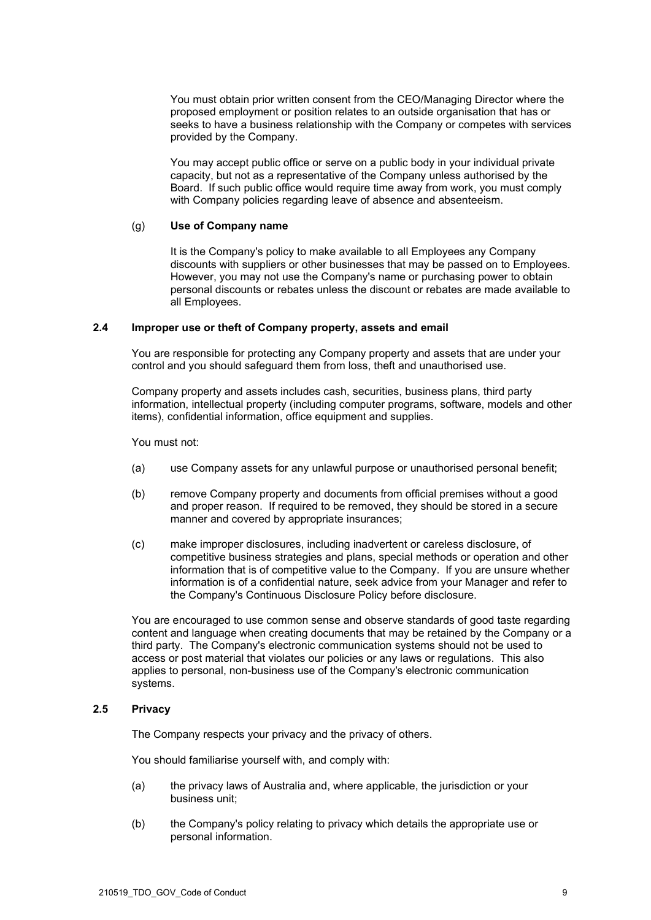You must obtain prior written consent from the CEO/Managing Director where the proposed employment or position relates to an outside organisation that has or seeks to have a business relationship with the Company or competes with services provided by the Company.

You may accept public office or serve on a public body in your individual private capacity, but not as a representative of the Company unless authorised by the Board. If such public office would require time away from work, you must comply with Company policies regarding leave of absence and absenteeism.

## (g) **Use of Company name**

It is the Company's policy to make available to all Employees any Company discounts with suppliers or other businesses that may be passed on to Employees. However, you may not use the Company's name or purchasing power to obtain personal discounts or rebates unless the discount or rebates are made available to all Employees.

## **2.4 Improper use or theft of Company property, assets and email**

You are responsible for protecting any Company property and assets that are under your control and you should safeguard them from loss, theft and unauthorised use.

Company property and assets includes cash, securities, business plans, third party information, intellectual property (including computer programs, software, models and other items), confidential information, office equipment and supplies.

You must not:

- (a) use Company assets for any unlawful purpose or unauthorised personal benefit;
- (b) remove Company property and documents from official premises without a good and proper reason. If required to be removed, they should be stored in a secure manner and covered by appropriate insurances;
- (c) make improper disclosures, including inadvertent or careless disclosure, of competitive business strategies and plans, special methods or operation and other information that is of competitive value to the Company. If you are unsure whether information is of a confidential nature, seek advice from your Manager and refer to the Company's Continuous Disclosure Policy before disclosure.

You are encouraged to use common sense and observe standards of good taste regarding content and language when creating documents that may be retained by the Company or a third party. The Company's electronic communication systems should not be used to access or post material that violates our policies or any laws or regulations. This also applies to personal, non-business use of the Company's electronic communication systems.

## **2.5 Privacy**

The Company respects your privacy and the privacy of others.

You should familiarise yourself with, and comply with:

- (a) the privacy laws of Australia and, where applicable, the jurisdiction or your business unit;
- (b) the Company's policy relating to privacy which details the appropriate use or personal information.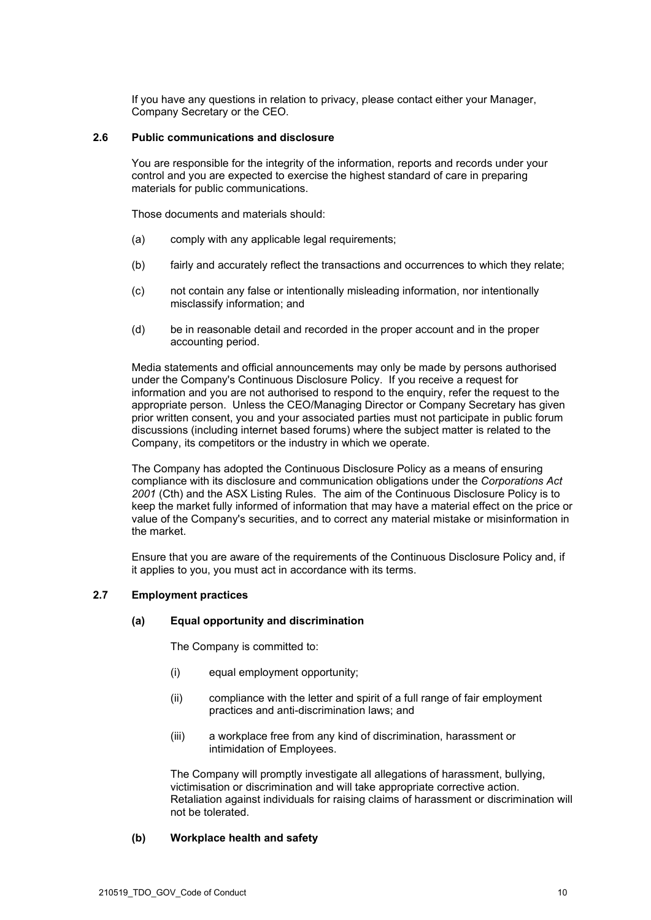If you have any questions in relation to privacy, please contact either your Manager, Company Secretary or the CEO.

## **2.6 Public communications and disclosure**

You are responsible for the integrity of the information, reports and records under your control and you are expected to exercise the highest standard of care in preparing materials for public communications.

Those documents and materials should:

- (a) comply with any applicable legal requirements;
- (b) fairly and accurately reflect the transactions and occurrences to which they relate;
- (c) not contain any false or intentionally misleading information, nor intentionally misclassify information; and
- (d) be in reasonable detail and recorded in the proper account and in the proper accounting period.

Media statements and official announcements may only be made by persons authorised under the Company's Continuous Disclosure Policy. If you receive a request for information and you are not authorised to respond to the enquiry, refer the request to the appropriate person. Unless the CEO/Managing Director or Company Secretary has given prior written consent, you and your associated parties must not participate in public forum discussions (including internet based forums) where the subject matter is related to the Company, its competitors or the industry in which we operate.

The Company has adopted the Continuous Disclosure Policy as a means of ensuring compliance with its disclosure and communication obligations under the *Corporations Act 2001* (Cth) and the ASX Listing Rules. The aim of the Continuous Disclosure Policy is to keep the market fully informed of information that may have a material effect on the price or value of the Company's securities, and to correct any material mistake or misinformation in the market.

Ensure that you are aware of the requirements of the Continuous Disclosure Policy and, if it applies to you, you must act in accordance with its terms.

# **2.7 Employment practices**

# **(a) Equal opportunity and discrimination**

The Company is committed to:

- (i) equal employment opportunity;
- (ii) compliance with the letter and spirit of a full range of fair employment practices and anti-discrimination laws; and
- (iii) a workplace free from any kind of discrimination, harassment or intimidation of Employees.

The Company will promptly investigate all allegations of harassment, bullying, victimisation or discrimination and will take appropriate corrective action. Retaliation against individuals for raising claims of harassment or discrimination will not be tolerated.

# **(b) Workplace health and safety**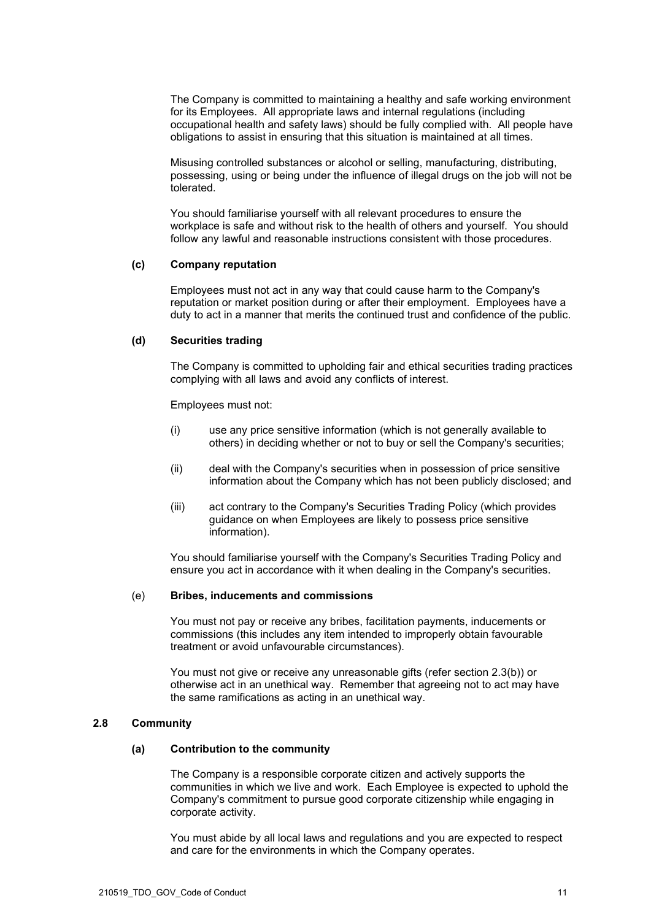The Company is committed to maintaining a healthy and safe working environment for its Employees. All appropriate laws and internal regulations (including occupational health and safety laws) should be fully complied with. All people have obligations to assist in ensuring that this situation is maintained at all times.

Misusing controlled substances or alcohol or selling, manufacturing, distributing, possessing, using or being under the influence of illegal drugs on the job will not be tolerated.

You should familiarise yourself with all relevant procedures to ensure the workplace is safe and without risk to the health of others and yourself. You should follow any lawful and reasonable instructions consistent with those procedures.

## **(c) Company reputation**

Employees must not act in any way that could cause harm to the Company's reputation or market position during or after their employment. Employees have a duty to act in a manner that merits the continued trust and confidence of the public.

## **(d) Securities trading**

The Company is committed to upholding fair and ethical securities trading practices complying with all laws and avoid any conflicts of interest.

Employees must not:

- (i) use any price sensitive information (which is not generally available to others) in deciding whether or not to buy or sell the Company's securities;
- (ii) deal with the Company's securities when in possession of price sensitive information about the Company which has not been publicly disclosed; and
- (iii) act contrary to the Company's Securities Trading Policy (which provides guidance on when Employees are likely to possess price sensitive information).

You should familiarise yourself with the Company's Securities Trading Policy and ensure you act in accordance with it when dealing in the Company's securities.

## (e) **Bribes, inducements and commissions**

You must not pay or receive any bribes, facilitation payments, inducements or commissions (this includes any item intended to improperly obtain favourable treatment or avoid unfavourable circumstances).

You must not give or receive any unreasonable gifts (refer section [2.3\(b\)\)](#page-6-0) or otherwise act in an unethical way. Remember that agreeing not to act may have the same ramifications as acting in an unethical way.

## **2.8 Community**

# **(a) Contribution to the community**

The Company is a responsible corporate citizen and actively supports the communities in which we live and work. Each Employee is expected to uphold the Company's commitment to pursue good corporate citizenship while engaging in corporate activity.

You must abide by all local laws and regulations and you are expected to respect and care for the environments in which the Company operates.